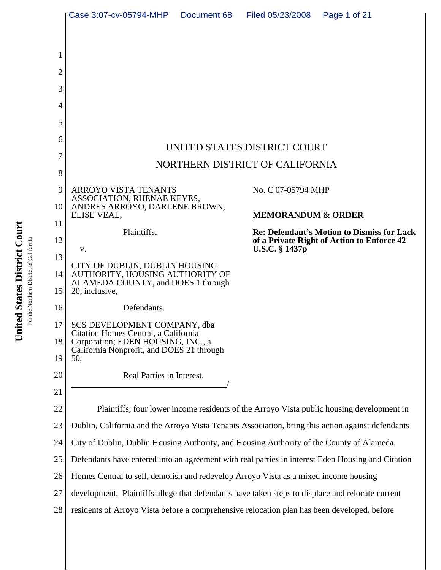

United States District Court **United States District Court** For the Northern District of California For the Northern District of California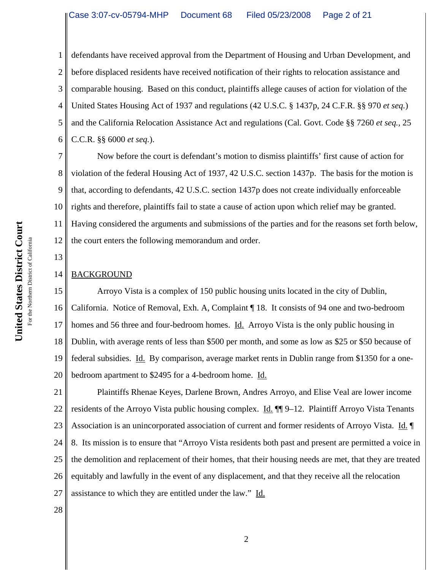1 2 3 4 5 6 defendants have received approval from the Department of Housing and Urban Development, and before displaced residents have received notification of their rights to relocation assistance and comparable housing. Based on this conduct, plaintiffs allege causes of action for violation of the United States Housing Act of 1937 and regulations (42 U.S.C. § 1437p, 24 C.F.R. §§ 970 *et seq.*) and the California Relocation Assistance Act and regulations (Cal. Govt. Code §§ 7260 *et seq.*, 25 C.C.R. §§ 6000 *et seq.*).

7 8 9 10 11 12 Now before the court is defendant's motion to dismiss plaintiffs' first cause of action for violation of the federal Housing Act of 1937, 42 U.S.C. section 1437p. The basis for the motion is that, according to defendants, 42 U.S.C. section 1437p does not create individually enforceable rights and therefore, plaintiffs fail to state a cause of action upon which relief may be granted. Having considered the arguments and submissions of the parties and for the reasons set forth below, the court enters the following memorandum and order.

## 14 BACKGROUND

15 16 17 18 19 20 Arroyo Vista is a complex of 150 public housing units located in the city of Dublin, California. Notice of Removal, Exh. A, Complaint ¶ 18. It consists of 94 one and two-bedroom homes and 56 three and four-bedroom homes. Id. Arroyo Vista is the only public housing in Dublin, with average rents of less than \$500 per month, and some as low as \$25 or \$50 because of federal subsidies. Id. By comparison, average market rents in Dublin range from \$1350 for a onebedroom apartment to \$2495 for a 4-bedroom home. Id.

21 22 23 24 25 26 27 Plaintiffs Rhenae Keyes, Darlene Brown, Andres Arroyo, and Elise Veal are lower income residents of the Arroyo Vista public housing complex. Id.  $\P$  9–12. Plaintiff Arroyo Vista Tenants Association is an unincorporated association of current and former residents of Arroyo Vista. Id. 8. Its mission is to ensure that "Arroyo Vista residents both past and present are permitted a voice in the demolition and replacement of their homes, that their housing needs are met, that they are treated equitably and lawfully in the event of any displacement, and that they receive all the relocation assistance to which they are entitled under the law." Id.

28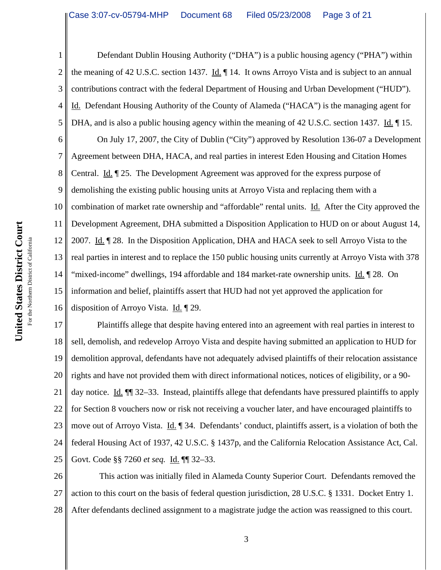Defendant Dublin Housing Authority ("DHA") is a public housing agency ("PHA") within the meaning of 42 U.S.C. section 1437. Id. ¶ 14. It owns Arroyo Vista and is subject to an annual contributions contract with the federal Department of Housing and Urban Development ("HUD"). Id. Defendant Housing Authority of the County of Alameda ("HACA") is the managing agent for DHA, and is also a public housing agency within the meaning of 42 U.S.C. section 1437. Id. 15.

6 7 8 9 10 11 12 13 14 15 16 On July 17, 2007, the City of Dublin ("City") approved by Resolution 136-07 a Development Agreement between DHA, HACA, and real parties in interest Eden Housing and Citation Homes Central. Id. 125. The Development Agreement was approved for the express purpose of demolishing the existing public housing units at Arroyo Vista and replacing them with a combination of market rate ownership and "affordable" rental units. Id. After the City approved the Development Agreement, DHA submitted a Disposition Application to HUD on or about August 14, 2007. Id. 128. In the Disposition Application, DHA and HACA seek to sell Arroyo Vista to the real parties in interest and to replace the 150 public housing units currently at Arroyo Vista with 378 "mixed-income" dwellings, 194 affordable and 184 market-rate ownership units. Id. ¶ 28. On information and belief, plaintiffs assert that HUD had not yet approved the application for disposition of Arroyo Vista. Id. ¶ 29.

17 18 19 20 21 22 23 24 25 Plaintiffs allege that despite having entered into an agreement with real parties in interest to sell, demolish, and redevelop Arroyo Vista and despite having submitted an application to HUD for demolition approval, defendants have not adequately advised plaintiffs of their relocation assistance rights and have not provided them with direct informational notices, notices of eligibility, or a 90 day notice. Id. ¶¶ 32–33. Instead, plaintiffs allege that defendants have pressured plaintiffs to apply for Section 8 vouchers now or risk not receiving a voucher later, and have encouraged plaintiffs to move out of Arroyo Vista. Id. 1 34. Defendants' conduct, plaintiffs assert, is a violation of both the federal Housing Act of 1937, 42 U.S.C. § 1437p, and the California Relocation Assistance Act, Cal. Govt. Code §§ 7260 *et seq.* Id. ¶¶ 32–33.

26 27 28 This action was initially filed in Alameda County Superior Court. Defendants removed the action to this court on the basis of federal question jurisdiction, 28 U.S.C. § 1331. Docket Entry 1. After defendants declined assignment to a magistrate judge the action was reassigned to this court.

1

2

3

4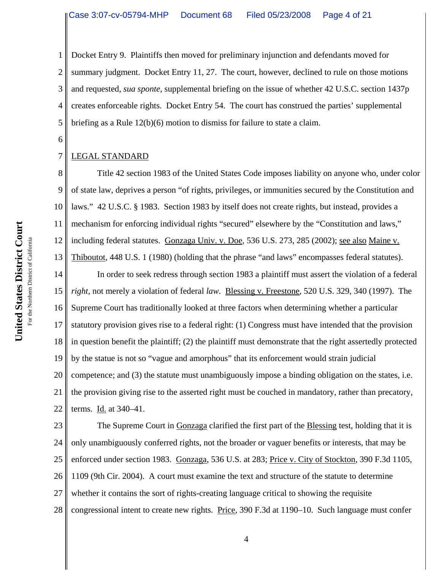1 2 3 4 5 Docket Entry 9. Plaintiffs then moved for preliminary injunction and defendants moved for summary judgment. Docket Entry 11, 27. The court, however, declined to rule on those motions and requested, *sua sponte*, supplemental briefing on the issue of whether 42 U.S.C. section 1437p creates enforceable rights. Docket Entry 54. The court has construed the parties' supplemental briefing as a Rule 12(b)(6) motion to dismiss for failure to state a claim.

LEGAL STANDARD

6

7

8 9 10 11 12 13 14 15 16 17 18 19 20 21 22 Title 42 section 1983 of the United States Code imposes liability on anyone who, under color of state law, deprives a person "of rights, privileges, or immunities secured by the Constitution and laws." 42 U.S.C. § 1983. Section 1983 by itself does not create rights, but instead, provides a mechanism for enforcing individual rights "secured" elsewhere by the "Constitution and laws," including federal statutes. Gonzaga Univ. v. Doe, 536 U.S. 273, 285 (2002); see also Maine v. Thiboutot, 448 U.S. 1 (1980) (holding that the phrase "and laws" encompasses federal statutes). In order to seek redress through section 1983 a plaintiff must assert the violation of a federal *right*, not merely a violation of federal *law*. Blessing v. Freestone, 520 U.S. 329, 340 (1997). The Supreme Court has traditionally looked at three factors when determining whether a particular statutory provision gives rise to a federal right: (1) Congress must have intended that the provision in question benefit the plaintiff; (2) the plaintiff must demonstrate that the right assertedly protected by the statue is not so "vague and amorphous" that its enforcement would strain judicial competence; and (3) the statute must unambiguously impose a binding obligation on the states, i.e. the provision giving rise to the asserted right must be couched in mandatory, rather than precatory, terms. Id. at 340–41.

23 24 25 26 27 28 The Supreme Court in Gonzaga clarified the first part of the Blessing test, holding that it is only unambiguously conferred rights, not the broader or vaguer benefits or interests, that may be enforced under section 1983. Gonzaga, 536 U.S. at 283; Price v. City of Stockton, 390 F.3d 1105, 1109 (9th Cir. 2004). A court must examine the text and structure of the statute to determine whether it contains the sort of rights-creating language critical to showing the requisite congressional intent to create new rights. Price, 390 F.3d at 1190–10. Such language must confer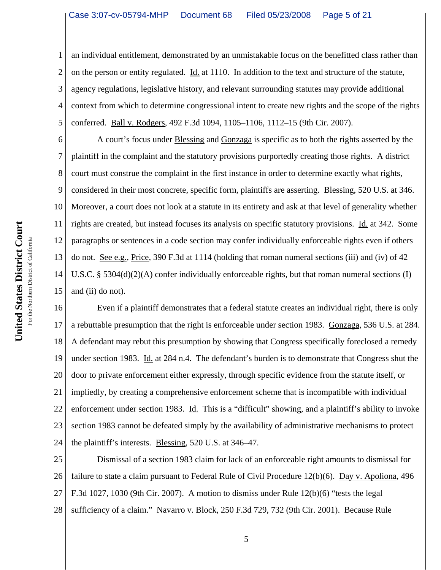1 2 3 4 5 an individual entitlement, demonstrated by an unmistakable focus on the benefitted class rather than on the person or entity regulated. Id. at 1110. In addition to the text and structure of the statute, agency regulations, legislative history, and relevant surrounding statutes may provide additional context from which to determine congressional intent to create new rights and the scope of the rights conferred. Ball v. Rodgers, 492 F.3d 1094, 1105–1106, 1112–15 (9th Cir. 2007).

6 7 8 9 10 11 12 13 14 15 A court's focus under Blessing and Gonzaga is specific as to both the rights asserted by the plaintiff in the complaint and the statutory provisions purportedly creating those rights. A district court must construe the complaint in the first instance in order to determine exactly what rights, considered in their most concrete, specific form, plaintiffs are asserting. Blessing, 520 U.S. at 346. Moreover, a court does not look at a statute in its entirety and ask at that level of generality whether rights are created, but instead focuses its analysis on specific statutory provisions. Id. at 342. Some paragraphs or sentences in a code section may confer individually enforceable rights even if others do not. See e.g., Price, 390 F.3d at 1114 (holding that roman numeral sections (iii) and (iv) of 42 U.S.C. § 5304(d)(2)(A) confer individually enforceable rights, but that roman numeral sections (I) and (ii) do not).

16 17 18 19 20 21 22 23 24 Even if a plaintiff demonstrates that a federal statute creates an individual right, there is only a rebuttable presumption that the right is enforceable under section 1983. Gonzaga, 536 U.S. at 284. A defendant may rebut this presumption by showing that Congress specifically foreclosed a remedy under section 1983. Id. at 284 n.4. The defendant's burden is to demonstrate that Congress shut the door to private enforcement either expressly, through specific evidence from the statute itself, or impliedly, by creating a comprehensive enforcement scheme that is incompatible with individual enforcement under section 1983. Id. This is a "difficult" showing, and a plaintiff's ability to invoke section 1983 cannot be defeated simply by the availability of administrative mechanisms to protect the plaintiff's interests. Blessing, 520 U.S. at 346–47.

25 26 27 28 Dismissal of a section 1983 claim for lack of an enforceable right amounts to dismissal for failure to state a claim pursuant to Federal Rule of Civil Procedure 12(b)(6). Day v. Apoliona, 496 F.3d 1027, 1030 (9th Cir. 2007). A motion to dismiss under Rule 12(b)(6) "tests the legal sufficiency of a claim." Navarro v. Block, 250 F.3d 729, 732 (9th Cir. 2001). Because Rule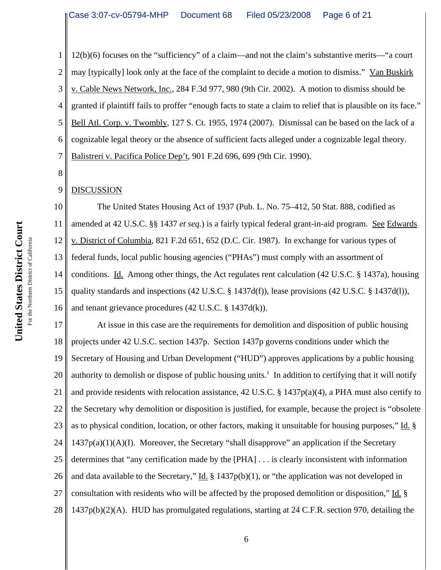1 2 3 4 5 6 7 12(b)(6) focuses on the "sufficiency" of a claim—and not the claim's substantive merits—"a court may [typically] look only at the face of the complaint to decide a motion to dismiss." Van Buskirk v. Cable News Network, Inc., 284 F.3d 977, 980 (9th Cir. 2002). A motion to dismiss should be granted if plaintiff fails to proffer "enough facts to state a claim to relief that is plausible on its face." Bell Atl. Corp. v. Twombly, 127 S. Ct. 1955, 1974 (2007). Dismissal can be based on the lack of a cognizable legal theory or the absence of sufficient facts alleged under a cognizable legal theory. Balistreri v. Pacifica Police Dep't, 901 F.2d 696, 699 (9th Cir. 1990).

8

9

## **DISCUSSION**

10 11 12 13 14 15 16 The United States Housing Act of 1937 (Pub. L. No. 75–412, 50 Stat. 888, codified as amended at 42 U.S.C. §§ 1437 *et seq.*) is a fairly typical federal grant-in-aid program. See Edwards v. District of Columbia, 821 F.2d 651, 652 (D.C. Cir. 1987). In exchange for various types of federal funds, local public housing agencies ("PHAs") must comply with an assortment of conditions. Id. Among other things, the Act regulates rent calculation  $(42 \text{ U.S.C.} \& 1437a)$ , housing quality standards and inspections (42 U.S.C. § 1437d(f)), lease provisions (42 U.S.C. § 1437d(l)), and tenant grievance procedures (42 U.S.C. § 1437d(k)).

17 18 19 20 21 22 23 24 25 26 27 28 At issue in this case are the requirements for demolition and disposition of public housing projects under 42 U.S.C. section 1437p. Section 1437p governs conditions under which the Secretary of Housing and Urban Development ("HUD") approves applications by a public housing authority to demolish or dispose of public housing units.<sup>1</sup> In addition to certifying that it will notify and provide residents with relocation assistance, 42 U.S.C. § 1437p(a)(4), a PHA must also certify to the Secretary why demolition or disposition is justified, for example, because the project is "obsolete as to physical condition, location, or other factors, making it unsuitable for housing purposes," Id. §  $1437p(a)(1)(A)(I)$ . Moreover, the Secretary "shall disapprove" an application if the Secretary determines that "any certification made by the [PHA] . . . is clearly inconsistent with information and data available to the Secretary," Id.  $\S 1437p(b)(1)$ , or "the application was not developed in consultation with residents who will be affected by the proposed demolition or disposition," Id. § 1437p(b)(2)(A). HUD has promulgated regulations, starting at 24 C.F.R. section 970, detailing the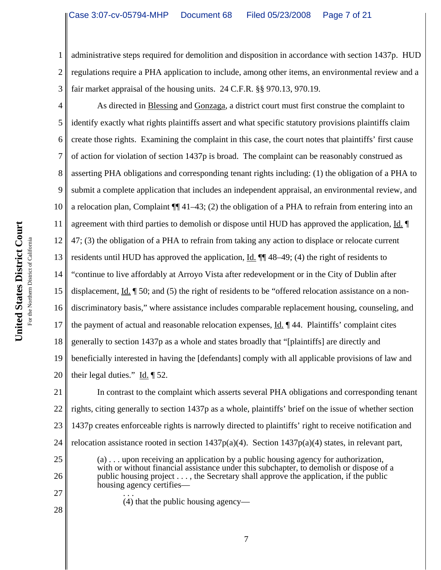1 2 3 administrative steps required for demolition and disposition in accordance with section 1437p. HUD regulations require a PHA application to include, among other items, an environmental review and a fair market appraisal of the housing units. 24 C.F.R. §§ 970.13, 970.19.

4 5 6 7 8 9 10 11 12 13 14 15 16 17 18 19 20 As directed in Blessing and Gonzaga, a district court must first construe the complaint to identify exactly what rights plaintiffs assert and what specific statutory provisions plaintiffs claim create those rights. Examining the complaint in this case, the court notes that plaintiffs' first cause of action for violation of section 1437p is broad. The complaint can be reasonably construed as asserting PHA obligations and corresponding tenant rights including: (1) the obligation of a PHA to submit a complete application that includes an independent appraisal, an environmental review, and a relocation plan, Complaint  $\P$  41–43; (2) the obligation of a PHA to refrain from entering into an agreement with third parties to demolish or dispose until HUD has approved the application, Id. ¶ 47; (3) the obligation of a PHA to refrain from taking any action to displace or relocate current residents until HUD has approved the application,  $\underline{Id}$ .  $\P\P$  48–49; (4) the right of residents to "continue to live affordably at Arroyo Vista after redevelopment or in the City of Dublin after displacement, Id. ¶ 50; and (5) the right of residents to be "offered relocation assistance on a nondiscriminatory basis," where assistance includes comparable replacement housing, counseling, and the payment of actual and reasonable relocation expenses, Id. ¶ 44. Plaintiffs' complaint cites generally to section 1437p as a whole and states broadly that "[plaintiffs] are directly and beneficially interested in having the [defendants] comply with all applicable provisions of law and their legal duties." Id. ¶ 52.

21 22 23 24 25 In contrast to the complaint which asserts several PHA obligations and corresponding tenant rights, citing generally to section 1437p as a whole, plaintiffs' brief on the issue of whether section 1437p creates enforceable rights is narrowly directed to plaintiffs' right to receive notification and relocation assistance rooted in section  $1437p(a)(4)$ . Section  $1437p(a)(4)$  states, in relevant part,

(a) . . . upon receiving an application by a public housing agency for authorization, with or without financial assistance under this subchapter, to demolish or dispose of a public housing project . . . , the Secretary shall approve the application, if the public housing agency certifies–

(4) that the public housing agency—

26

27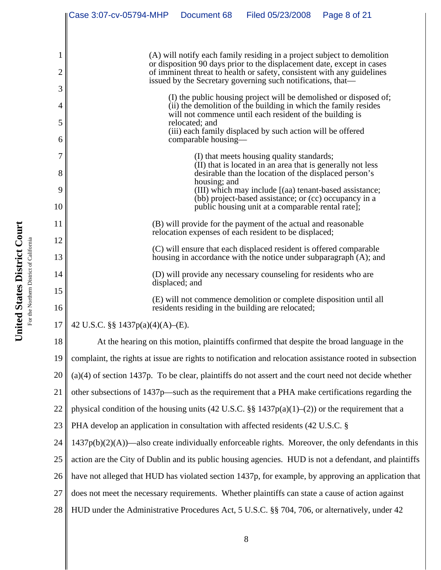|          | Filed 05/23/2008<br>Case 3:07-cv-05794-MHP<br>Document 68<br>Page 8 of 21                                                                                                                                                   |
|----------|-----------------------------------------------------------------------------------------------------------------------------------------------------------------------------------------------------------------------------|
|          |                                                                                                                                                                                                                             |
| 2        | (A) will notify each family residing in a project subject to demolition<br>or disposition 90 days prior to the displacement date, except in cases<br>of imminent threat to health or safety, consistent with any guidelines |
| 3        | issued by the Secretary governing such notifications, that—                                                                                                                                                                 |
| 4        | (I) the public housing project will be demolished or disposed of;<br>(ii) the demolition of the building in which the family resides                                                                                        |
| 5        | will not commence until each resident of the building is<br>relocated; and                                                                                                                                                  |
| 6        | (iii) each family displaced by such action will be offered<br>comparable housing—                                                                                                                                           |
| 7        | (I) that meets housing quality standards;                                                                                                                                                                                   |
| 8        | (II) that is located in an area that is generally not less<br>desirable than the location of the displaced person's                                                                                                         |
| 9        | housing; and<br>(III) which may include [(aa) tenant-based assistance;                                                                                                                                                      |
| 10       | (bb) project-based assistance; or (cc) occupancy in a<br>public housing unit at a comparable rental rate];                                                                                                                  |
| 11       | (B) will provide for the payment of the actual and reasonable<br>relocation expenses of each resident to be displaced;                                                                                                      |
| 12       | (C) will ensure that each displaced resident is offered comparable                                                                                                                                                          |
| 13       | housing in accordance with the notice under subparagraph (A); and                                                                                                                                                           |
| 14       | (D) will provide any necessary counseling for residents who are<br>displaced; and                                                                                                                                           |
| 15<br>16 | (E) will not commence demolition or complete disposition until all<br>residents residing in the building are relocated;                                                                                                     |
| 17       | 42 U.S.C. §§ 1437p(a)(4)(A)–(E).                                                                                                                                                                                            |
| 18       | At the hearing on this motion, plaintiffs confirmed that despite the broad language in the                                                                                                                                  |
| 19       | complaint, the rights at issue are rights to notification and relocation assistance rooted in subsection                                                                                                                    |
| 20       | $(a)(4)$ of section 1437p. To be clear, plaintiffs do not assert and the court need not decide whether                                                                                                                      |
| 21       | other subsections of 1437p—such as the requirement that a PHA make certifications regarding the                                                                                                                             |
| 22       | physical condition of the housing units (42 U.S.C. §§ 1437p(a)(1)–(2)) or the requirement that a                                                                                                                            |
| 23       | PHA develop an application in consultation with affected residents (42 U.S.C. §                                                                                                                                             |
| 24       | $1437p(b)(2)(A)$ —also create individually enforceable rights. Moreover, the only defendants in this                                                                                                                        |
| 25       | action are the City of Dublin and its public housing agencies. HUD is not a defendant, and plaintiffs                                                                                                                       |
| 26       | have not alleged that HUD has violated section 1437p, for example, by approving an application that                                                                                                                         |
| 27       | does not meet the necessary requirements. Whether plaintiffs can state a cause of action against                                                                                                                            |
| 28       | HUD under the Administrative Procedures Act, 5 U.S.C. §§ 704, 706, or alternatively, under 42                                                                                                                               |
|          |                                                                                                                                                                                                                             |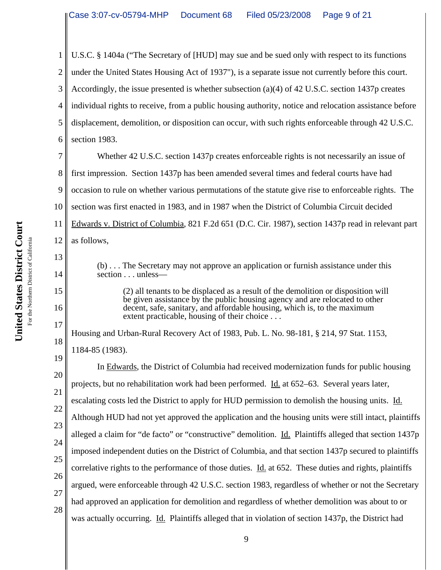1 2 3 4 5 6 U.S.C. § 1404a ("The Secretary of [HUD] may sue and be sued only with respect to its functions under the United States Housing Act of 1937"), is a separate issue not currently before this court. Accordingly, the issue presented is whether subsection (a)(4) of 42 U.S.C. section 1437p creates individual rights to receive, from a public housing authority, notice and relocation assistance before displacement, demolition, or disposition can occur, with such rights enforceable through 42 U.S.C. section 1983.

7 8 9 10 11 12 Whether 42 U.S.C. section 1437p creates enforceable rights is not necessarily an issue of first impression. Section 1437p has been amended several times and federal courts have had occasion to rule on whether various permutations of the statute give rise to enforceable rights. The section was first enacted in 1983, and in 1987 when the District of Columbia Circuit decided Edwards v. District of Columbia, 821 F.2d 651 (D.C. Cir. 1987), section 1437p read in relevant part as follows,

(b) . . . The Secretary may not approve an application or furnish assistance under this section . . . unless—

 $(2)$  all tenants to be displaced as a result of the demolition or disposition will be given assistance by the public housing agency and are relocated to other decent, safe, sanitary, and affordable housing, which is, to the maximum extent practicable, housing of their choice . . .

Housing and Urban-Rural Recovery Act of 1983, Pub. L. No. 98-181, § 214, 97 Stat. 1153, 1184-85 (1983).

20 21 22 23 24 25 26 In Edwards, the District of Columbia had received modernization funds for public housing projects, but no rehabilitation work had been performed. Id. at 652–63. Several years later, escalating costs led the District to apply for HUD permission to demolish the housing units. Id. Although HUD had not yet approved the application and the housing units were still intact, plaintiffs alleged a claim for "de facto" or "constructive" demolition. Id. Plaintiffs alleged that section 1437p imposed independent duties on the District of Columbia, and that section 1437p secured to plaintiffs correlative rights to the performance of those duties. Id. at 652. These duties and rights, plaintiffs argued, were enforceable through 42 U.S.C. section 1983, regardless of whether or not the Secretary had approved an application for demolition and regardless of whether demolition was about to or was actually occurring. Id. Plaintiffs alleged that in violation of section 1437p, the District had

13

14

15

16

17

18

19

**United States District Court**

United States District Court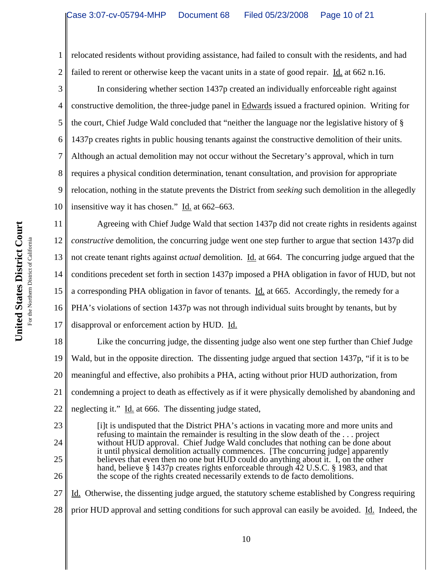1 2 relocated residents without providing assistance, had failed to consult with the residents, and had failed to rerent or otherwise keep the vacant units in a state of good repair. Id. at 662 n.16.

3 4 5 6 7 8 9 10 In considering whether section 1437p created an individually enforceable right against constructive demolition, the three-judge panel in Edwards issued a fractured opinion. Writing for the court, Chief Judge Wald concluded that "neither the language nor the legislative history of § 1437p creates rights in public housing tenants against the constructive demolition of their units. Although an actual demolition may not occur without the Secretary's approval, which in turn requires a physical condition determination, tenant consultation, and provision for appropriate relocation, nothing in the statute prevents the District from *seeking* such demolition in the allegedly insensitive way it has chosen." Id. at 662–663.

11 12 13 14 15 16 17 Agreeing with Chief Judge Wald that section 1437p did not create rights in residents against *constructive* demolition, the concurring judge went one step further to argue that section 1437p did not create tenant rights against *actual* demolition. Id. at 664. The concurring judge argued that the conditions precedent set forth in section 1437p imposed a PHA obligation in favor of HUD, but not a corresponding PHA obligation in favor of tenants. Id. at 665. Accordingly, the remedy for a PHA's violations of section 1437p was not through individual suits brought by tenants, but by disapproval or enforcement action by HUD. Id.

18 19 20 21 22 Like the concurring judge, the dissenting judge also went one step further than Chief Judge Wald, but in the opposite direction. The dissenting judge argued that section 1437p, "if it is to be meaningful and effective, also prohibits a PHA, acting without prior HUD authorization, from condemning a project to death as effectively as if it were physically demolished by abandoning and neglecting it." Id. at 666. The dissenting judge stated,

[i]t is undisputed that the District PHA's actions in vacating more and more units and refusing to maintain the remainder is resulting in the slow death of the . . . project without HUD approval. Chief Judge Wald concludes that nothing can be done about it until physical demolition actually commences. [The concurring judge] apparently believes that even then no one but HUD could do anything about it. I, on the other hand, believe § 1437p creates rights enforceable through 42 U.S.C. § 1983, and that the scope of the rights created necessarily extends to de facto demolitions.

27 28 Id. Otherwise, the dissenting judge argued, the statutory scheme established by Congress requiring prior HUD approval and setting conditions for such approval can easily be avoided. Id. Indeed, the

23

24

25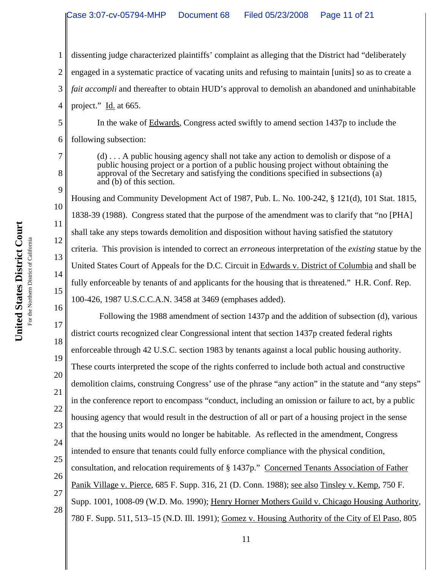1 2 3 4 5 6 7 8 9 10 11 12 13 14 15 16 17 18 19 20 21 22 23 24 25 26 27 28 dissenting judge characterized plaintiffs' complaint as alleging that the District had "deliberately engaged in a systematic practice of vacating units and refusing to maintain [units] so as to create a *fait accompli* and thereafter to obtain HUD's approval to demolish an abandoned and uninhabitable project." Id. at 665. In the wake of Edwards, Congress acted swiftly to amend section 1437p to include the following subsection: (d) . . . A public housing agency shall not take any action to demolish or dispose of a public housing project or a portion of a public housing project without obtaining the approval of the Secretary and satisfying the conditions specified in subsections (a) and (b) of this section. Housing and Community Development Act of 1987, Pub. L. No. 100-242, § 121(d), 101 Stat. 1815, 1838-39 (1988). Congress stated that the purpose of the amendment was to clarify that "no [PHA] shall take any steps towards demolition and disposition without having satisfied the statutory criteria. This provision is intended to correct an *erroneous* interpretation of the *existing* statue by the United States Court of Appeals for the D.C. Circuit in Edwards v. District of Columbia and shall be fully enforceable by tenants of and applicants for the housing that is threatened." H.R. Conf. Rep. 100-426, 1987 U.S.C.C.A.N. 3458 at 3469 (emphases added). Following the 1988 amendment of section 1437p and the addition of subsection (d), various district courts recognized clear Congressional intent that section 1437p created federal rights enforceable through 42 U.S.C. section 1983 by tenants against a local public housing authority. These courts interpreted the scope of the rights conferred to include both actual and constructive demolition claims, construing Congress' use of the phrase "any action" in the statute and "any steps" in the conference report to encompass "conduct, including an omission or failure to act, by a public housing agency that would result in the destruction of all or part of a housing project in the sense that the housing units would no longer be habitable. As reflected in the amendment, Congress intended to ensure that tenants could fully enforce compliance with the physical condition, consultation, and relocation requirements of § 1437p." Concerned Tenants Association of Father Panik Village v. Pierce, 685 F. Supp. 316, 21 (D. Conn. 1988); see also Tinsley v. Kemp, 750 F. Supp. 1001, 1008-09 (W.D. Mo. 1990); Henry Horner Mothers Guild v. Chicago Housing Authority, 780 F. Supp. 511, 513–15 (N.D. Ill. 1991); Gomez v. Housing Authority of the City of El Paso, 805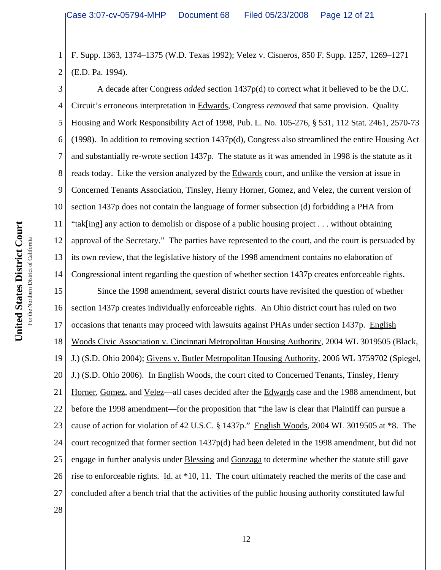1 2 F. Supp. 1363, 1374–1375 (W.D. Texas 1992); Velez v. Cisneros, 850 F. Supp. 1257, 1269–1271 (E.D. Pa. 1994).

3 4 5 6 7 8 9 10 11 12 13 14 A decade after Congress *added* section 1437p(d) to correct what it believed to be the D.C. Circuit's erroneous interpretation in Edwards, Congress *removed* that same provision. Quality Housing and Work Responsibility Act of 1998, Pub. L. No. 105-276, § 531, 112 Stat. 2461, 2570-73 (1998). In addition to removing section 1437p(d), Congress also streamlined the entire Housing Act and substantially re-wrote section 1437p. The statute as it was amended in 1998 is the statute as it reads today. Like the version analyzed by the Edwards court, and unlike the version at issue in Concerned Tenants Association, Tinsley, Henry Horner, Gomez, and Velez, the current version of section 1437p does not contain the language of former subsection (d) forbidding a PHA from "tak[ing] any action to demolish or dispose of a public housing project . . . without obtaining approval of the Secretary." The parties have represented to the court, and the court is persuaded by its own review, that the legislative history of the 1998 amendment contains no elaboration of Congressional intent regarding the question of whether section 1437p creates enforceable rights.

15 16 17 18 19 20 21 22 23 24 25 26 27 28 Since the 1998 amendment, several district courts have revisited the question of whether section 1437p creates individually enforceable rights. An Ohio district court has ruled on two occasions that tenants may proceed with lawsuits against PHAs under section 1437p. English Woods Civic Association v. Cincinnati Metropolitan Housing Authority, 2004 WL 3019505 (Black, J.) (S.D. Ohio 2004); Givens v. Butler Metropolitan Housing Authority, 2006 WL 3759702 (Spiegel, J.) (S.D. Ohio 2006). In English Woods, the court cited to Concerned Tenants, Tinsley, Henry Horner, Gomez, and Velez—all cases decided after the Edwards case and the 1988 amendment, but before the 1998 amendment—for the proposition that "the law is clear that Plaintiff can pursue a cause of action for violation of 42 U.S.C. § 1437p." English Woods, 2004 WL 3019505 at \*8. The court recognized that former section 1437p(d) had been deleted in the 1998 amendment, but did not engage in further analysis under Blessing and Gonzaga to determine whether the statute still gave rise to enforceable rights. Id. at \*10, 11. The court ultimately reached the merits of the case and concluded after a bench trial that the activities of the public housing authority constituted lawful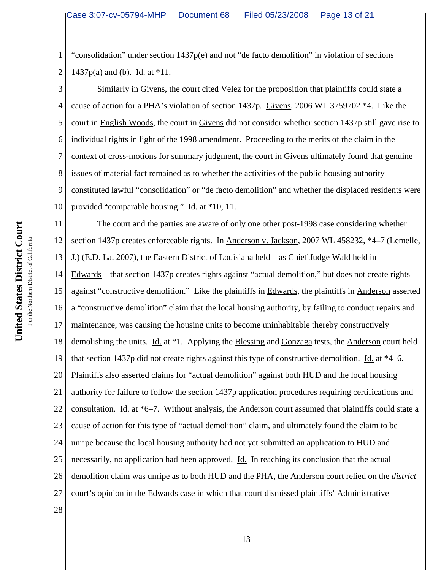1 2 "consolidation" under section 1437p(e) and not "de facto demolition" in violation of sections  $1437p(a)$  and (b). Id. at  $*11$ .

3 4 5 6 7 8 9 10 Similarly in Givens, the court cited Velez for the proposition that plaintiffs could state a cause of action for a PHA's violation of section 1437p. Givens, 2006 WL 3759702 \*4. Like the court in English Woods, the court in Givens did not consider whether section 1437p still gave rise to individual rights in light of the 1998 amendment. Proceeding to the merits of the claim in the context of cross-motions for summary judgment, the court in Givens ultimately found that genuine issues of material fact remained as to whether the activities of the public housing authority constituted lawful "consolidation" or "de facto demolition" and whether the displaced residents were provided "comparable housing." Id. at \*10, 11.

11 12 13 14 15 16 17 18 19 20 21 22 23 24 25 26 27 28 The court and the parties are aware of only one other post-1998 case considering whether section 1437p creates enforceable rights. In Anderson v. Jackson, 2007 WL 458232, \*4–7 (Lemelle, J.) (E.D. La. 2007), the Eastern District of Louisiana held—as Chief Judge Wald held in Edwards—that section 1437p creates rights against "actual demolition," but does not create rights against "constructive demolition." Like the plaintiffs in Edwards, the plaintiffs in Anderson asserted a "constructive demolition" claim that the local housing authority, by failing to conduct repairs and maintenance, was causing the housing units to become uninhabitable thereby constructively demolishing the units. Id. at \*1. Applying the Blessing and Gonzaga tests, the Anderson court held that section 1437p did not create rights against this type of constructive demolition. Id. at  $*4-6$ . Plaintiffs also asserted claims for "actual demolition" against both HUD and the local housing authority for failure to follow the section 1437p application procedures requiring certifications and consultation. Id. at \*6–7. Without analysis, the Anderson court assumed that plaintiffs could state a cause of action for this type of "actual demolition" claim, and ultimately found the claim to be unripe because the local housing authority had not yet submitted an application to HUD and necessarily, no application had been approved. Id. In reaching its conclusion that the actual demolition claim was unripe as to both HUD and the PHA, the Anderson court relied on the *district* court's opinion in the Edwards case in which that court dismissed plaintiffs' Administrative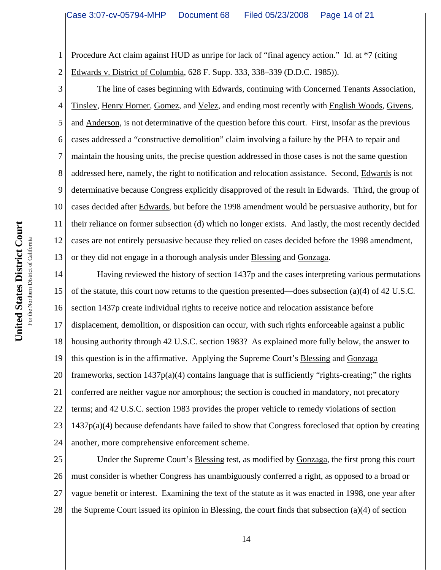1 2 Procedure Act claim against HUD as unripe for lack of "final agency action." Id. at \*7 (citing Edwards v. District of Columbia, 628 F. Supp. 333, 338–339 (D.D.C. 1985)).

3 4 5 6 7 8 9 10 11 12 13 The line of cases beginning with Edwards, continuing with Concerned Tenants Association, Tinsley, Henry Horner, Gomez, and Velez, and ending most recently with English Woods, Givens, and Anderson, is not determinative of the question before this court. First, insofar as the previous cases addressed a "constructive demolition" claim involving a failure by the PHA to repair and maintain the housing units, the precise question addressed in those cases is not the same question addressed here, namely, the right to notification and relocation assistance. Second, Edwards is not determinative because Congress explicitly disapproved of the result in Edwards. Third, the group of cases decided after Edwards, but before the 1998 amendment would be persuasive authority, but for their reliance on former subsection (d) which no longer exists. And lastly, the most recently decided cases are not entirely persuasive because they relied on cases decided before the 1998 amendment, or they did not engage in a thorough analysis under Blessing and Gonzaga.

14 15 16 17 18 19 20 21 22 23 24 Having reviewed the history of section 1437p and the cases interpreting various permutations of the statute, this court now returns to the question presented—does subsection (a)(4) of 42 U.S.C. section 1437p create individual rights to receive notice and relocation assistance before displacement, demolition, or disposition can occur, with such rights enforceable against a public housing authority through 42 U.S.C. section 1983? As explained more fully below, the answer to this question is in the affirmative. Applying the Supreme Court's Blessing and Gonzaga frameworks, section  $1437p(a)(4)$  contains language that is sufficiently "rights-creating;" the rights conferred are neither vague nor amorphous; the section is couched in mandatory, not precatory terms; and 42 U.S.C. section 1983 provides the proper vehicle to remedy violations of section  $1437p(a)(4)$  because defendants have failed to show that Congress foreclosed that option by creating another, more comprehensive enforcement scheme.

25 26 27 28 Under the Supreme Court's Blessing test, as modified by Gonzaga, the first prong this court must consider is whether Congress has unambiguously conferred a right, as opposed to a broad or vague benefit or interest. Examining the text of the statute as it was enacted in 1998, one year after the Supreme Court issued its opinion in Blessing, the court finds that subsection  $(a)(4)$  of section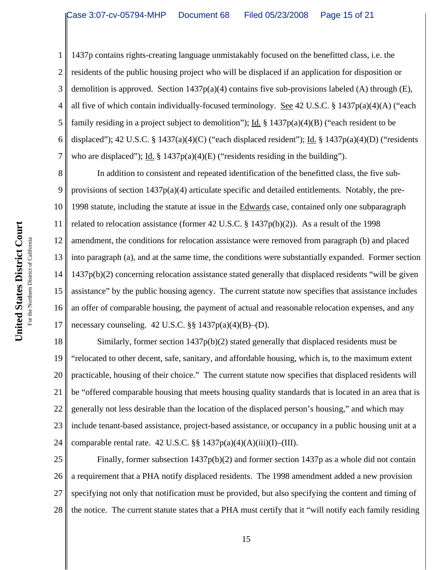1 2 3 4 5 6 7 1437p contains rights-creating language unmistakably focused on the benefitted class, i.e. the residents of the public housing project who will be displaced if an application for disposition or demolition is approved. Section  $1437p(a)(4)$  contains five sub-provisions labeled (A) through (E), all five of which contain individually-focused terminology. See 42 U.S.C. § 1437p(a)(4)(A) ("each family residing in a project subject to demolition"); Id.  $\S$  1437p(a)(4)(B) ("each resident to be displaced"); 42 U.S.C. § 1437(a)(4)(C) ("each displaced resident"); Id. § 1437p(a)(4)(D) ("residents who are displaced"); Id.  $\S 1437p(a)(4)(E)$  ("residents residing in the building").

8 9 10 11 12 13 14 15 16 17 In addition to consistent and repeated identification of the benefitted class, the five subprovisions of section 1437p(a)(4) articulate specific and detailed entitlements. Notably, the pre-1998 statute, including the statute at issue in the Edwards case, contained only one subparagraph related to relocation assistance (former 42 U.S.C. § 1437p(b)(2)). As a result of the 1998 amendment, the conditions for relocation assistance were removed from paragraph (b) and placed into paragraph (a), and at the same time, the conditions were substantially expanded. Former section 1437p(b)(2) concerning relocation assistance stated generally that displaced residents "will be given assistance" by the public housing agency. The current statute now specifies that assistance includes an offer of comparable housing, the payment of actual and reasonable relocation expenses, and any necessary counseling.  $42 \text{ U.S.C.}$  §§  $1437p(a)(4)(B)$ –(D).

18 19 20 21 22 23 24 Similarly, former section  $1437p(b)(2)$  stated generally that displaced residents must be "relocated to other decent, safe, sanitary, and affordable housing, which is, to the maximum extent practicable, housing of their choice." The current statute now specifies that displaced residents will be "offered comparable housing that meets housing quality standards that is located in an area that is generally not less desirable than the location of the displaced person's housing," and which may include tenant-based assistance, project-based assistance, or occupancy in a public housing unit at a comparable rental rate. 42 U.S.C.  $\S$  1437p(a)(4)(A)(iii)(I)–(III).

25 26 27 28 Finally, former subsection 1437p(b)(2) and former section 1437p as a whole did not contain a requirement that a PHA notify displaced residents. The 1998 amendment added a new provision specifying not only that notification must be provided, but also specifying the content and timing of the notice. The current statute states that a PHA must certify that it "will notify each family residing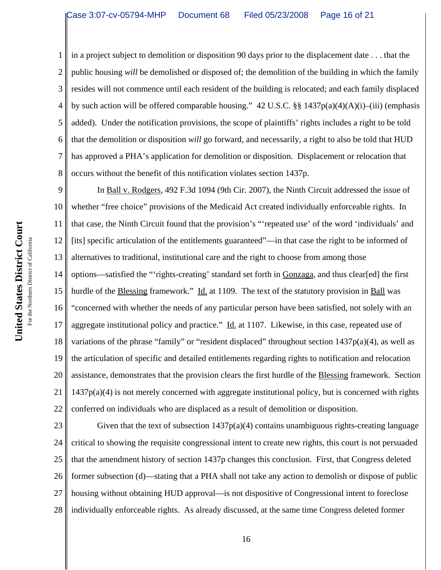2 3 4 5 6 7 8 in a project subject to demolition or disposition 90 days prior to the displacement date . . . that the public housing *will* be demolished or disposed of; the demolition of the building in which the family resides will not commence until each resident of the building is relocated; and each family displaced by such action will be offered comparable housing." 42 U.S.C.  $\S$ § 1437p(a)(4)(A)(i)–(iii) (emphasis added). Under the notification provisions, the scope of plaintiffs' rights includes a right to be told that the demolition or disposition *will* go forward, and necessarily, a right to also be told that HUD has approved a PHA's application for demolition or disposition. Displacement or relocation that occurs without the benefit of this notification violates section 1437p.

9 10 11 12 13 14 15 16 17 18 19 20 21 22 In Ball v. Rodgers, 492 F.3d 1094 (9th Cir. 2007), the Ninth Circuit addressed the issue of whether "free choice" provisions of the Medicaid Act created individually enforceable rights. In that case, the Ninth Circuit found that the provision's "'repeated use' of the word 'individuals' and [its] specific articulation of the entitlements guaranteed"—in that case the right to be informed of alternatives to traditional, institutional care and the right to choose from among those options—satisfied the "'rights-creating' standard set forth in Gonzaga, and thus clear[ed] the first hurdle of the Blessing framework." Id. at 1109. The text of the statutory provision in Ball was "concerned with whether the needs of any particular person have been satisfied, not solely with an aggregate institutional policy and practice." Id. at 1107. Likewise, in this case, repeated use of variations of the phrase "family" or "resident displaced" throughout section 1437p(a)(4), as well as the articulation of specific and detailed entitlements regarding rights to notification and relocation assistance, demonstrates that the provision clears the first hurdle of the Blessing framework. Section  $1437p(a)(4)$  is not merely concerned with aggregate institutional policy, but is concerned with rights conferred on individuals who are displaced as a result of demolition or disposition.

23 24 25 26 27 28 Given that the text of subsection  $1437p(a)(4)$  contains unambiguous rights-creating language critical to showing the requisite congressional intent to create new rights, this court is not persuaded that the amendment history of section 1437p changes this conclusion. First, that Congress deleted former subsection (d)—stating that a PHA shall not take any action to demolish or dispose of public housing without obtaining HUD approval—is not dispositive of Congressional intent to foreclose individually enforceable rights. As already discussed, at the same time Congress deleted former

1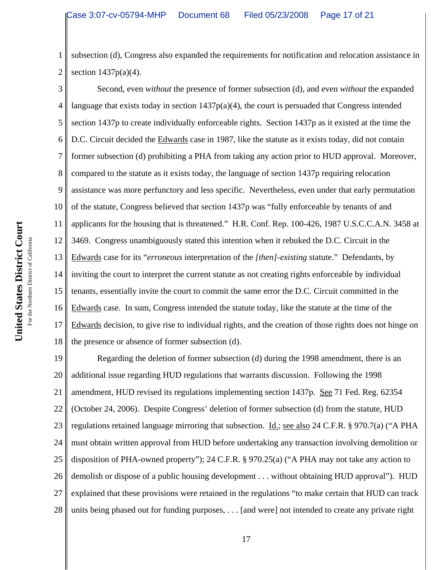1 2 subsection (d), Congress also expanded the requirements for notification and relocation assistance in section  $1437p(a)(4)$ .

3 4 5 6 7 8 9 10 11 12 13 14 15 16 17 18 Second, even *without* the presence of former subsection (d), and even *without* the expanded language that exists today in section  $1437p(a)(4)$ , the court is persuaded that Congress intended section 1437p to create individually enforceable rights. Section 1437p as it existed at the time the D.C. Circuit decided the Edwards case in 1987, like the statute as it exists today, did not contain former subsection (d) prohibiting a PHA from taking any action prior to HUD approval. Moreover, compared to the statute as it exists today, the language of section 1437p requiring relocation assistance was more perfunctory and less specific. Nevertheless, even under that early permutation of the statute, Congress believed that section 1437p was "fully enforceable by tenants of and applicants for the housing that is threatened." H.R. Conf. Rep. 100-426, 1987 U.S.C.C.A.N. 3458 at 3469. Congress unambiguously stated this intention when it rebuked the D.C. Circuit in the Edwards case for its "*erroneous* interpretation of the *[then]-existing* statute." Defendants, by inviting the court to interpret the current statute as not creating rights enforceable by individual tenants, essentially invite the court to commit the same error the D.C. Circuit committed in the Edwards case. In sum, Congress intended the statute today, like the statute at the time of the Edwards decision, to give rise to individual rights, and the creation of those rights does not hinge on the presence or absence of former subsection (d).

19 20 21 22 23 24 25 26 27 28 Regarding the deletion of former subsection (d) during the 1998 amendment, there is an additional issue regarding HUD regulations that warrants discussion. Following the 1998 amendment, HUD revised its regulations implementing section 1437p. See 71 Fed. Reg. 62354 (October 24, 2006). Despite Congress' deletion of former subsection (d) from the statute, HUD regulations retained language mirroring that subsection. Id.; see also 24 C.F.R. § 970.7(a) ("A PHA must obtain written approval from HUD before undertaking any transaction involving demolition or disposition of PHA-owned property"); 24 C.F.R. § 970.25(a) ("A PHA may not take any action to demolish or dispose of a public housing development . . . without obtaining HUD approval"). HUD explained that these provisions were retained in the regulations "to make certain that HUD can track units being phased out for funding purposes, . . . [and were] not intended to create any private right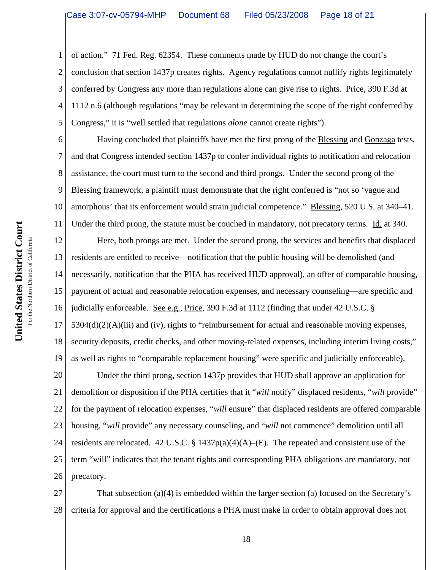1 2 3 4 5 of action." 71 Fed. Reg. 62354. These comments made by HUD do not change the court's conclusion that section 1437p creates rights. Agency regulations cannot nullify rights legitimately conferred by Congress any more than regulations alone can give rise to rights. Price, 390 F.3d at 1112 n.6 (although regulations "may be relevant in determining the scope of the right conferred by Congress," it is "well settled that regulations *alone* cannot create rights").

6 7 8 9 10 11 Having concluded that plaintiffs have met the first prong of the Blessing and Gonzaga tests, and that Congress intended section 1437p to confer individual rights to notification and relocation assistance, the court must turn to the second and third prongs. Under the second prong of the Blessing framework, a plaintiff must demonstrate that the right conferred is "not so 'vague and amorphous' that its enforcement would strain judicial competence." Blessing, 520 U.S. at 340–41. Under the third prong, the statute must be couched in mandatory, not precatory terms. Id. at 340.

12 13 14 15 16 17 18 19 Here, both prongs are met. Under the second prong, the services and benefits that displaced residents are entitled to receive—notification that the public housing will be demolished (and necessarily, notification that the PHA has received HUD approval), an offer of comparable housing, payment of actual and reasonable relocation expenses, and necessary counseling—are specific and judicially enforceable. See e.g., Price, 390 F.3d at 1112 (finding that under 42 U.S.C. §  $5304(d)(2)(A)(iii)$  and (iv), rights to "reimbursement for actual and reasonable moving expenses, security deposits, credit checks, and other moving-related expenses, including interim living costs," as well as rights to "comparable replacement housing" were specific and judicially enforceable).

20 21 22 23 24 25 26 Under the third prong, section 1437p provides that HUD shall approve an application for demolition or disposition if the PHA certifies that it "*will* notify" displaced residents, "*will* provide" for the payment of relocation expenses, "*will* ensure" that displaced residents are offered comparable housing, "*will* provide" any necessary counseling, and "*will* not commence" demolition until all residents are relocated. 42 U.S.C. § 1437 $p(a)(A)(A)$ –(E). The repeated and consistent use of the term "will" indicates that the tenant rights and corresponding PHA obligations are mandatory, not precatory.

27 28 That subsection (a)(4) is embedded within the larger section (a) focused on the Secretary's criteria for approval and the certifications a PHA must make in order to obtain approval does not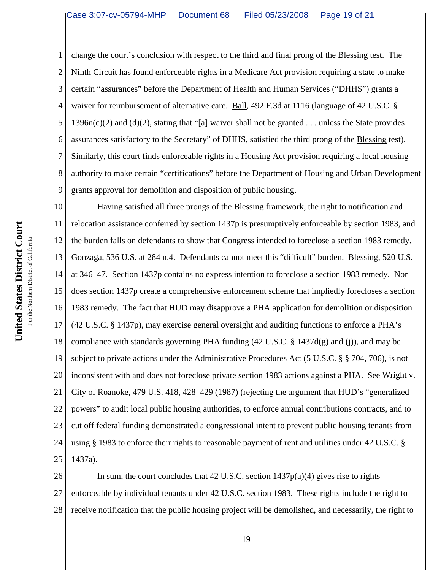1 2 3 4 5 6 7 8 9 change the court's conclusion with respect to the third and final prong of the Blessing test. The Ninth Circuit has found enforceable rights in a Medicare Act provision requiring a state to make certain "assurances" before the Department of Health and Human Services ("DHHS") grants a waiver for reimbursement of alternative care. Ball, 492 F.3d at 1116 (language of 42 U.S.C. § 1396n(c)(2) and (d)(2), stating that "[a] waiver shall not be granted . . . unless the State provides assurances satisfactory to the Secretary" of DHHS, satisfied the third prong of the Blessing test). Similarly, this court finds enforceable rights in a Housing Act provision requiring a local housing authority to make certain "certifications" before the Department of Housing and Urban Development grants approval for demolition and disposition of public housing.

10 11 12 13 14 15 16 17 18 19 20 21 22 23 24 25 Having satisfied all three prongs of the Blessing framework, the right to notification and relocation assistance conferred by section 1437p is presumptively enforceable by section 1983, and the burden falls on defendants to show that Congress intended to foreclose a section 1983 remedy. Gonzaga, 536 U.S. at 284 n.4. Defendants cannot meet this "difficult" burden. Blessing, 520 U.S. at 346–47. Section 1437p contains no express intention to foreclose a section 1983 remedy. Nor does section 1437p create a comprehensive enforcement scheme that impliedly forecloses a section 1983 remedy. The fact that HUD may disapprove a PHA application for demolition or disposition (42 U.S.C. § 1437p), may exercise general oversight and auditing functions to enforce a PHA's compliance with standards governing PHA funding  $(42 \text{ U.S.C. } § 1437d(g)$  and (j)), and may be subject to private actions under the Administrative Procedures Act (5 U.S.C. § § 704, 706), is not inconsistent with and does not foreclose private section 1983 actions against a PHA. See Wright v. City of Roanoke, 479 U.S. 418, 428–429 (1987) (rejecting the argument that HUD's "generalized powers" to audit local public housing authorities, to enforce annual contributions contracts, and to cut off federal funding demonstrated a congressional intent to prevent public housing tenants from using § 1983 to enforce their rights to reasonable payment of rent and utilities under 42 U.S.C. § 1437a).

26 27 28 In sum, the court concludes that 42 U.S.C. section  $1437p(a)(4)$  gives rise to rights enforceable by individual tenants under 42 U.S.C. section 1983. These rights include the right to receive notification that the public housing project will be demolished, and necessarily, the right to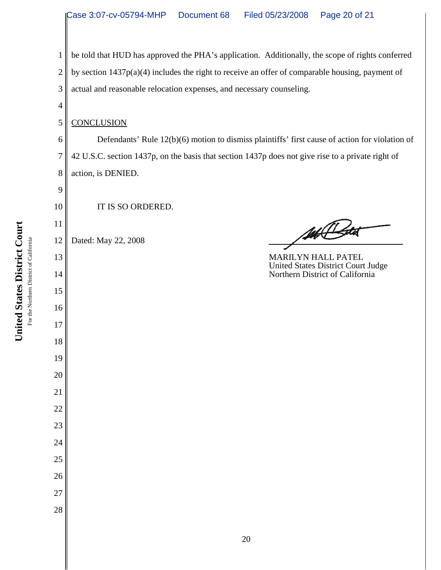be told that HUD has approved the PHA's application. Additionally, the scope of rights conferred

 by section 1437p(a)(4) includes the right to receive an offer of comparable housing, payment of

 actual and reasonable relocation expenses, and necessary counseling.

## **CONCLUSION**

 Defendants' Rule 12(b)(6) motion to dismiss plaintiffs' first cause of action for violation of 42 U.S.C. section 1437p, on the basis that section 1437p does not give rise to a private right of action, is DENIED.

IT IS SO ORDERED.

 Dated: May 22, 2008

14 Botal

MARILYN HALL PATEL United States District Court Judge Northern District of California

United States District Court **United States District Court** For the Northern District of California For the Northern District of California